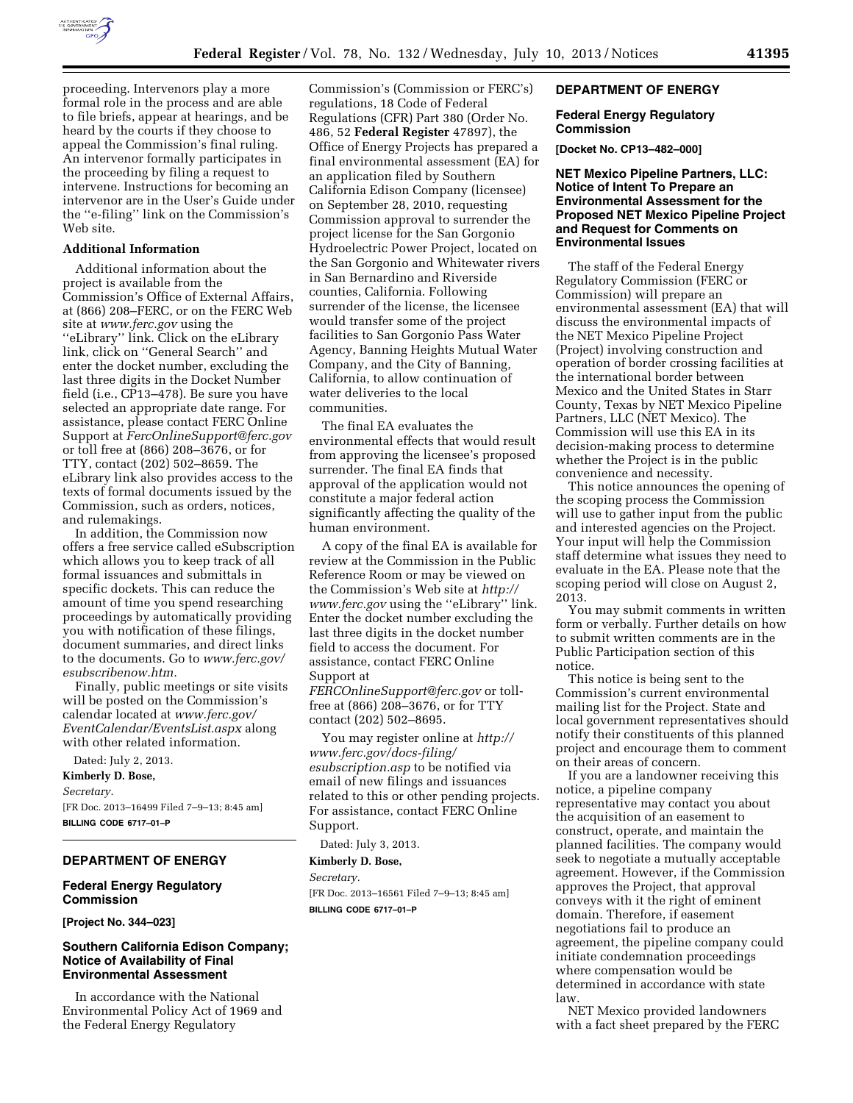

proceeding. Intervenors play a more formal role in the process and are able to file briefs, appear at hearings, and be heard by the courts if they choose to appeal the Commission's final ruling. An intervenor formally participates in the proceeding by filing a request to intervene. Instructions for becoming an intervenor are in the User's Guide under the ''e-filing'' link on the Commission's Web site.

## **Additional Information**

Additional information about the project is available from the Commission's Office of External Affairs, at (866) 208–FERC, or on the FERC Web site at *[www.ferc.gov](http://www.ferc.gov)* using the ''eLibrary'' link. Click on the eLibrary link, click on ''General Search'' and enter the docket number, excluding the last three digits in the Docket Number field (i.e., CP13–478). Be sure you have selected an appropriate date range. For assistance, please contact FERC Online Support at *[FercOnlineSupport@ferc.gov](mailto:FercOnlineSupport@ferc.gov)*  or toll free at (866) 208–3676, or for TTY, contact (202) 502–8659. The eLibrary link also provides access to the texts of formal documents issued by the Commission, such as orders, notices, and rulemakings.

In addition, the Commission now offers a free service called eSubscription which allows you to keep track of all formal issuances and submittals in specific dockets. This can reduce the amount of time you spend researching proceedings by automatically providing you with notification of these filings, document summaries, and direct links to the documents. Go to *[www.ferc.gov/](http://www.ferc.gov/esubscribenow.htm) [esubscribenow.htm.](http://www.ferc.gov/esubscribenow.htm)* 

Finally, public meetings or site visits will be posted on the Commission's calendar located at *[www.ferc.gov/](http://www.ferc.gov/EventCalendar/EventsList.aspx) [EventCalendar/EventsList.aspx](http://www.ferc.gov/EventCalendar/EventsList.aspx)* along with other related information.

Dated: July 2, 2013. **Kimberly D. Bose,**  *Secretary.*  [FR Doc. 2013–16499 Filed 7–9–13; 8:45 am] **BILLING CODE 6717–01–P** 

# **DEPARTMENT OF ENERGY**

# **Federal Energy Regulatory Commission**

**[Project No. 344–023]** 

# **Southern California Edison Company; Notice of Availability of Final Environmental Assessment**

In accordance with the National Environmental Policy Act of 1969 and the Federal Energy Regulatory

Commission's (Commission or FERC's) regulations, 18 Code of Federal Regulations (CFR) Part 380 (Order No. 486, 52 **Federal Register** 47897), the Office of Energy Projects has prepared a final environmental assessment (EA) for an application filed by Southern California Edison Company (licensee) on September 28, 2010, requesting Commission approval to surrender the project license for the San Gorgonio Hydroelectric Power Project, located on the San Gorgonio and Whitewater rivers in San Bernardino and Riverside counties, California. Following surrender of the license, the licensee would transfer some of the project facilities to San Gorgonio Pass Water Agency, Banning Heights Mutual Water Company, and the City of Banning, California, to allow continuation of water deliveries to the local communities.

The final EA evaluates the environmental effects that would result from approving the licensee's proposed surrender. The final EA finds that approval of the application would not constitute a major federal action significantly affecting the quality of the human environment.

A copy of the final EA is available for review at the Commission in the Public Reference Room or may be viewed on the Commission's Web site at *[http://](http://www.ferc.gov) [www.ferc.gov](http://www.ferc.gov)* using the ''eLibrary'' link. Enter the docket number excluding the last three digits in the docket number field to access the document. For assistance, contact FERC Online Support at *[FERCOnlineSupport@ferc.gov](mailto:FERCOnlineSupport@ferc.gov)* or toll-

free at (866) 208–3676, or for TTY contact (202) 502–8695.

You may register online at *[http://](http://www.ferc.gov/docs-filing/esubscription.asp)  [www.ferc.gov/docs-filing/](http://www.ferc.gov/docs-filing/esubscription.asp)  [esubscription.asp](http://www.ferc.gov/docs-filing/esubscription.asp)* to be notified via email of new filings and issuances related to this or other pending projects. For assistance, contact FERC Online Support.

Dated: July 3, 2013.

## **Kimberly D. Bose,**

*Secretary.*  [FR Doc. 2013–16561 Filed 7–9–13; 8:45 am] **BILLING CODE 6717–01–P** 

### **DEPARTMENT OF ENERGY**

## **Federal Energy Regulatory Commission**

**[Docket No. CP13–482–000]** 

# **NET Mexico Pipeline Partners, LLC: Notice of Intent To Prepare an Environmental Assessment for the Proposed NET Mexico Pipeline Project and Request for Comments on Environmental Issues**

The staff of the Federal Energy Regulatory Commission (FERC or Commission) will prepare an environmental assessment (EA) that will discuss the environmental impacts of the NET Mexico Pipeline Project (Project) involving construction and operation of border crossing facilities at the international border between Mexico and the United States in Starr County, Texas by NET Mexico Pipeline Partners, LLC (NET Mexico). The Commission will use this EA in its decision-making process to determine whether the Project is in the public convenience and necessity.

This notice announces the opening of the scoping process the Commission will use to gather input from the public and interested agencies on the Project. Your input will help the Commission staff determine what issues they need to evaluate in the EA. Please note that the scoping period will close on August 2, 2013.

You may submit comments in written form or verbally. Further details on how to submit written comments are in the Public Participation section of this notice.

This notice is being sent to the Commission's current environmental mailing list for the Project. State and local government representatives should notify their constituents of this planned project and encourage them to comment on their areas of concern.

If you are a landowner receiving this notice, a pipeline company representative may contact you about the acquisition of an easement to construct, operate, and maintain the planned facilities. The company would seek to negotiate a mutually acceptable agreement. However, if the Commission approves the Project, that approval conveys with it the right of eminent domain. Therefore, if easement negotiations fail to produce an agreement, the pipeline company could initiate condemnation proceedings where compensation would be determined in accordance with state law.

NET Mexico provided landowners with a fact sheet prepared by the FERC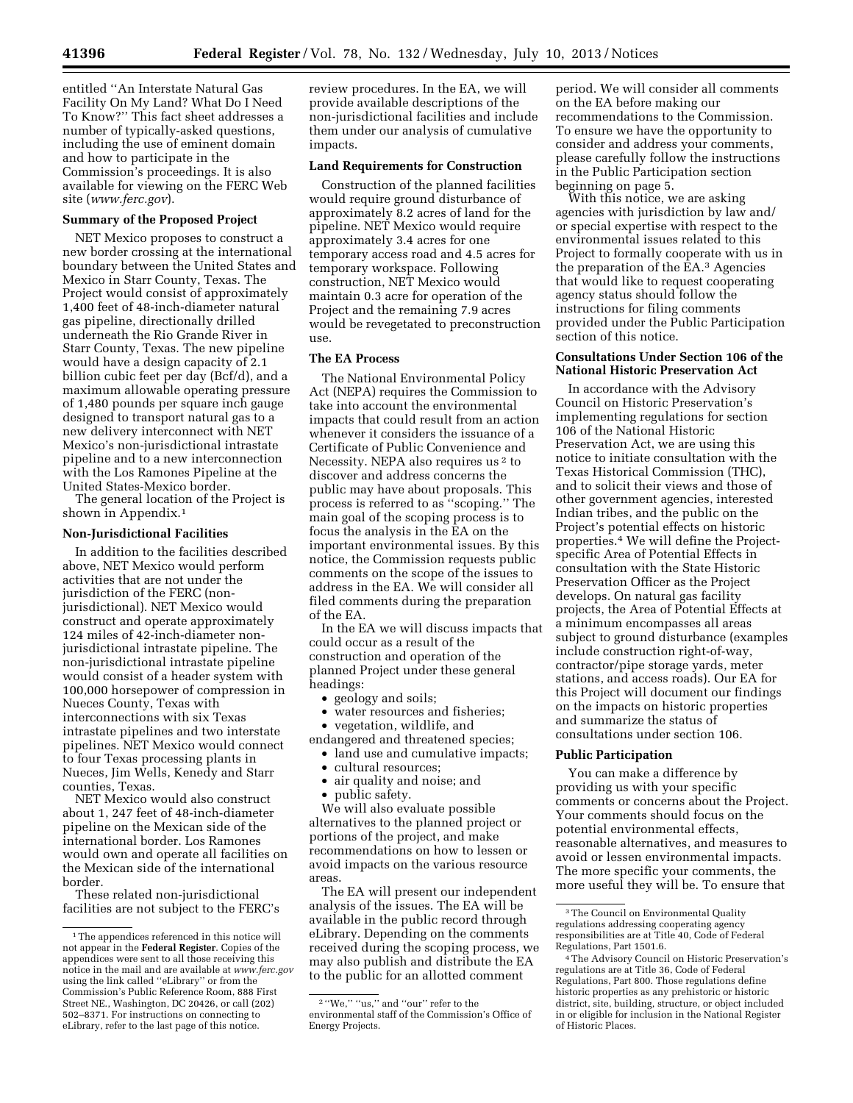entitled ''An Interstate Natural Gas Facility On My Land? What Do I Need To Know?'' This fact sheet addresses a number of typically-asked questions, including the use of eminent domain and how to participate in the Commission's proceedings. It is also available for viewing on the FERC Web site (*[www.ferc.gov](http://www.ferc.gov)*).

# **Summary of the Proposed Project**

NET Mexico proposes to construct a new border crossing at the international boundary between the United States and Mexico in Starr County, Texas. The Project would consist of approximately 1,400 feet of 48-inch-diameter natural gas pipeline, directionally drilled underneath the Rio Grande River in Starr County, Texas. The new pipeline would have a design capacity of 2.1 billion cubic feet per day (Bcf/d), and a maximum allowable operating pressure of 1,480 pounds per square inch gauge designed to transport natural gas to a new delivery interconnect with NET Mexico's non-jurisdictional intrastate pipeline and to a new interconnection with the Los Ramones Pipeline at the United States-Mexico border.

The general location of the Project is shown in Appendix.<sup>1</sup>

## **Non-Jurisdictional Facilities**

In addition to the facilities described above, NET Mexico would perform activities that are not under the jurisdiction of the FERC (nonjurisdictional). NET Mexico would construct and operate approximately 124 miles of 42-inch-diameter nonjurisdictional intrastate pipeline. The non-jurisdictional intrastate pipeline would consist of a header system with 100,000 horsepower of compression in Nueces County, Texas with interconnections with six Texas intrastate pipelines and two interstate pipelines. NET Mexico would connect to four Texas processing plants in Nueces, Jim Wells, Kenedy and Starr counties, Texas.

NET Mexico would also construct about 1, 247 feet of 48-inch-diameter pipeline on the Mexican side of the international border. Los Ramones would own and operate all facilities on the Mexican side of the international border.

These related non-jurisdictional facilities are not subject to the FERC's review procedures. In the EA, we will provide available descriptions of the non-jurisdictional facilities and include them under our analysis of cumulative impacts.

## **Land Requirements for Construction**

Construction of the planned facilities would require ground disturbance of approximately 8.2 acres of land for the pipeline. NET Mexico would require approximately 3.4 acres for one temporary access road and 4.5 acres for temporary workspace. Following construction, NET Mexico would maintain 0.3 acre for operation of the Project and the remaining 7.9 acres would be revegetated to preconstruction use.

#### **The EA Process**

The National Environmental Policy Act (NEPA) requires the Commission to take into account the environmental impacts that could result from an action whenever it considers the issuance of a Certificate of Public Convenience and Necessity. NEPA also requires us 2 to discover and address concerns the public may have about proposals. This process is referred to as ''scoping.'' The main goal of the scoping process is to focus the analysis in the EA on the important environmental issues. By this notice, the Commission requests public comments on the scope of the issues to address in the EA. We will consider all filed comments during the preparation of the EA.

In the EA we will discuss impacts that could occur as a result of the construction and operation of the planned Project under these general headings:

- geology and soils;
- water resources and fisheries;
- vegetation, wildlife, and

endangered and threatened species;

• land use and cumulative impacts;

- cultural resources;
- air quality and noise; and
- public safety.

We will also evaluate possible alternatives to the planned project or portions of the project, and make recommendations on how to lessen or avoid impacts on the various resource areas.

The EA will present our independent analysis of the issues. The EA will be available in the public record through eLibrary. Depending on the comments received during the scoping process, we may also publish and distribute the EA to the public for an allotted comment

period. We will consider all comments on the EA before making our recommendations to the Commission. To ensure we have the opportunity to consider and address your comments, please carefully follow the instructions in the Public Participation section beginning on page 5.

With this notice, we are asking agencies with jurisdiction by law and/ or special expertise with respect to the environmental issues related to this Project to formally cooperate with us in the preparation of the EA.3 Agencies that would like to request cooperating agency status should follow the instructions for filing comments provided under the Public Participation section of this notice.

### **Consultations Under Section 106 of the National Historic Preservation Act**

In accordance with the Advisory Council on Historic Preservation's implementing regulations for section 106 of the National Historic Preservation Act, we are using this notice to initiate consultation with the Texas Historical Commission (THC), and to solicit their views and those of other government agencies, interested Indian tribes, and the public on the Project's potential effects on historic properties.4 We will define the Projectspecific Area of Potential Effects in consultation with the State Historic Preservation Officer as the Project develops. On natural gas facility projects, the Area of Potential Effects at a minimum encompasses all areas subject to ground disturbance (examples include construction right-of-way, contractor/pipe storage yards, meter stations, and access roads). Our EA for this Project will document our findings on the impacts on historic properties and summarize the status of consultations under section 106.

# **Public Participation**

You can make a difference by providing us with your specific comments or concerns about the Project. Your comments should focus on the potential environmental effects, reasonable alternatives, and measures to avoid or lessen environmental impacts. The more specific your comments, the more useful they will be. To ensure that

<sup>1</sup>The appendices referenced in this notice will not appear in the **Federal Register**. Copies of the appendices were sent to all those receiving this notice in the mail and are available at *[www.ferc.gov](http://www.ferc.gov)*  using the link called ''eLibrary'' or from the Commission's Public Reference Room, 888 First Street NE., Washington, DC 20426, or call (202) 502–8371. For instructions on connecting to eLibrary, refer to the last page of this notice.

 $^{2}$  "We," "us," and "our" refer to the environmental staff of the Commission's Office of Energy Projects.

<sup>3</sup>The Council on Environmental Quality regulations addressing cooperating agency responsibilities are at Title 40, Code of Federal Regulations, Part 1501.6.

<sup>4</sup>The Advisory Council on Historic Preservation's regulations are at Title 36, Code of Federal Regulations, Part 800. Those regulations define historic properties as any prehistoric or historic district, site, building, structure, or object included in or eligible for inclusion in the National Register of Historic Places.